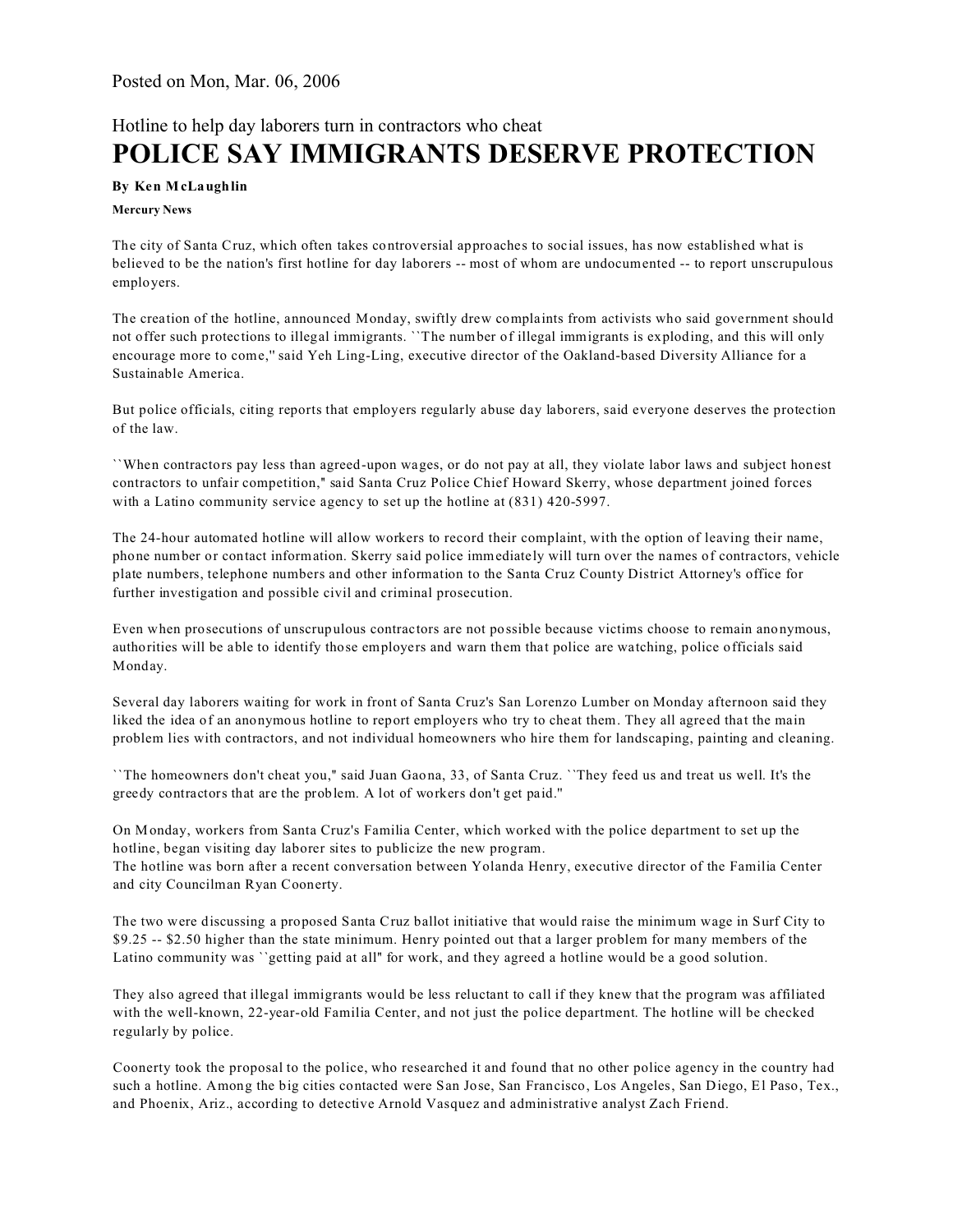## Hotline to help day laborers turn in contractors who cheat **POLICE SAY IMMIGRANTS DESERVE PROTECTION**

## **By Ken McLaughlin**

## **Mercury News**

The city of Santa Cruz, which often takes controversial approaches to social issues, has now established what is believed to be the nation's first hotline for day laborers -- most of whom are undocumented -- to report unscrupulous employers.

The creation of the hotline, announced Monday, swiftly drew complaints from activists who said government should not offer such protections to illegal immigrants. ``The number of illegal immigrants is exploding, and this will only encourage more to come,'' said Yeh Ling-Ling, executive director of the Oakland-based Diversity Alliance for a Sustainable America.

But police officials, citing reports that employers regularly abuse day laborers, said everyone deserves the protection of the law.

``When contractors pay less than agreed-upon wages, or do not pay at all, they violate labor laws and subject honest contractors to unfair competition,'' said Santa Cruz Police Chief Howard Skerry, whose department joined forces with a Latino community service agency to set up the hotline at  $(831)$  420-5997.

The 24-hour automated hotline will allow workers to record their complaint, with the option of leaving their name, phone number or contact information. Skerry said police immediately will turn over the names of contractors, vehicle plate numbers, telephone numbers and other information to the Santa Cruz County District Attorney's office for further investigation and possible civil and criminal prosecution.

Even when prosecutions of unscrupulous contractors are not possible because victims choose to remain anonymous, authorities will be able to identify those employers and warn them that police are watching, police officials said Monday.

Several day laborers waiting for work in front of Santa Cruz's San Lorenzo Lumber on Monday afternoon said they liked the idea of an anonymous hotline to report employers who try to cheat them. They all agreed that the main problem lies with contractors, and not individual homeowners who hire them for landscaping, painting and cleaning.

``The homeowners don't cheat you,'' said Juan Gaona, 33, of Santa Cruz. ``They feed us and treat us well. It's the greedy contractors that are the problem. A lot of workers don't get paid.''

On Monday, workers from Santa Cruz's Familia Center, which worked with the police department to set up the hotline, began visiting day laborer sites to publicize the new program.

The hotline was born after a recent conversation between Yolanda Henry, executive director of the Familia Center and city Councilman Ryan Coonerty.

The two were discussing a proposed Santa Cruz ballot initiative that would raise the minimum wage in Surf City to \$9.25 -- \$2.50 higher than the state minimum. Henry pointed out that a larger problem for many members of the Latino community was ``getting paid at all'' for work, and they agreed a hotline would be a good solution.

They also agreed that illegal immigrants would be less reluctant to call if they knew that the program was affiliated with the well-known, 22-year-old Familia Center, and not just the police department. The hotline will be checked regularly by police.

Coonerty took the proposal to the police, who researched it and found that no other police agency in the country had such a hotline. Among the big cities contacted were San Jose, San Francisco, Los Angeles, San Diego, El Paso, Tex., and Phoenix, Ariz., according to detective Arnold Vasquez and administrative analyst Zach Friend.